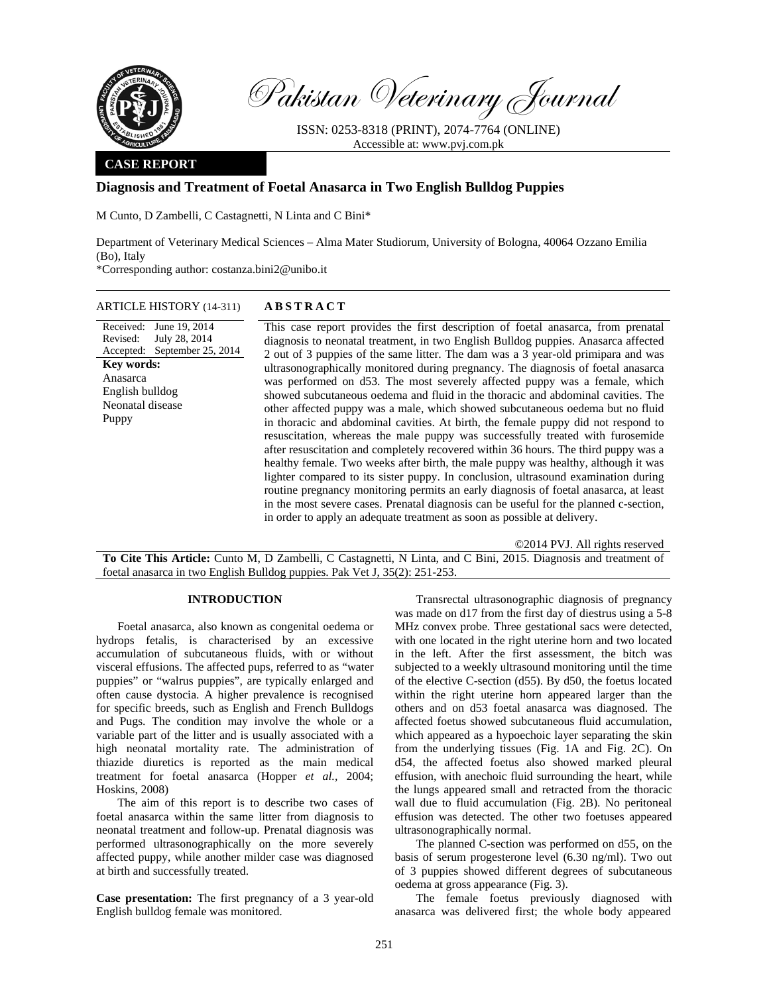

Revised:

Puppy

**Key words:**  Anasarca English bulldog Neonatal disease

Pakistan Veterinary Journal

ISSN: 0253-8318 (PRINT), 2074-7764 (ONLINE) Accessible at: www.pvj.com.pk

## **CASE REPORT**

## **Diagnosis and Treatment of Foetal Anasarca in Two English Bulldog Puppies**

M Cunto, D Zambelli, C Castagnetti, N Linta and C Bini\*

Department of Veterinary Medical Sciences – Alma Mater Studiorum, University of Bologna, 40064 Ozzano Emilia (Bo), Italy

\*Corresponding author: costanza.bini2@unibo.it

### ARTICLE HISTORY (14-311) **ABSTRACT**

Received: June 19, 2014 Accepted: September 25, 2014 July 28, 2014 This case report provides the first description of foetal anasarca, from prenatal diagnosis to neonatal treatment, in two English Bulldog puppies. Anasarca affected 2 out of 3 puppies of the same litter. The dam was a 3 year-old primipara and was ultrasonographically monitored during pregnancy. The diagnosis of foetal anasarca was performed on d53. The most severely affected puppy was a female, which showed subcutaneous oedema and fluid in the thoracic and abdominal cavities. The other affected puppy was a male, which showed subcutaneous oedema but no fluid in thoracic and abdominal cavities. At birth, the female puppy did not respond to resuscitation, whereas the male puppy was successfully treated with furosemide after resuscitation and completely recovered within 36 hours. The third puppy was a healthy female. Two weeks after birth, the male puppy was healthy, although it was lighter compared to its sister puppy. In conclusion, ultrasound examination during routine pregnancy monitoring permits an early diagnosis of foetal anasarca, at least in the most severe cases. Prenatal diagnosis can be useful for the planned c-section, in order to apply an adequate treatment as soon as possible at delivery.

©2014 PVJ. All rights reserved

**To Cite This Article:** Cunto M, D Zambelli, C Castagnetti, N Linta, and C Bini, 2015. Diagnosis and treatment of foetal anasarca in two English Bulldog puppies. Pak Vet J, 35(2): 251-253.

# **INTRODUCTION**

Foetal anasarca, also known as congenital oedema or hydrops fetalis, is characterised by an excessive accumulation of subcutaneous fluids, with or without visceral effusions. The affected pups, referred to as "water puppies" or "walrus puppies", are typically enlarged and often cause dystocia. A higher prevalence is recognised for specific breeds, such as English and French Bulldogs and Pugs. The condition may involve the whole or a variable part of the litter and is usually associated with a high neonatal mortality rate. The administration of thiazide diuretics is reported as the main medical treatment for foetal anasarca (Hopper *et al.,* 2004; Hoskins, 2008)

The aim of this report is to describe two cases of foetal anasarca within the same litter from diagnosis to neonatal treatment and follow-up. Prenatal diagnosis was performed ultrasonographically on the more severely affected puppy, while another milder case was diagnosed at birth and successfully treated.

**Case presentation:** The first pregnancy of a 3 year-old English bulldog female was monitored.

Transrectal ultrasonographic diagnosis of pregnancy was made on d17 from the first day of diestrus using a 5-8 MHz convex probe. Three gestational sacs were detected, with one located in the right uterine horn and two located in the left. After the first assessment, the bitch was subjected to a weekly ultrasound monitoring until the time of the elective C-section (d55). By d50, the foetus located within the right uterine horn appeared larger than the others and on d53 foetal anasarca was diagnosed. The affected foetus showed subcutaneous fluid accumulation, which appeared as a hypoechoic layer separating the skin from the underlying tissues (Fig. 1A and Fig. 2C). On d54, the affected foetus also showed marked pleural effusion, with anechoic fluid surrounding the heart, while the lungs appeared small and retracted from the thoracic wall due to fluid accumulation (Fig. 2B). No peritoneal effusion was detected. The other two foetuses appeared ultrasonographically normal.

The planned C-section was performed on d55, on the basis of serum progesterone level (6.30 ng/ml). Two out of 3 puppies showed different degrees of subcutaneous oedema at gross appearance (Fig. 3).

The female foetus previously diagnosed with anasarca was delivered first; the whole body appeared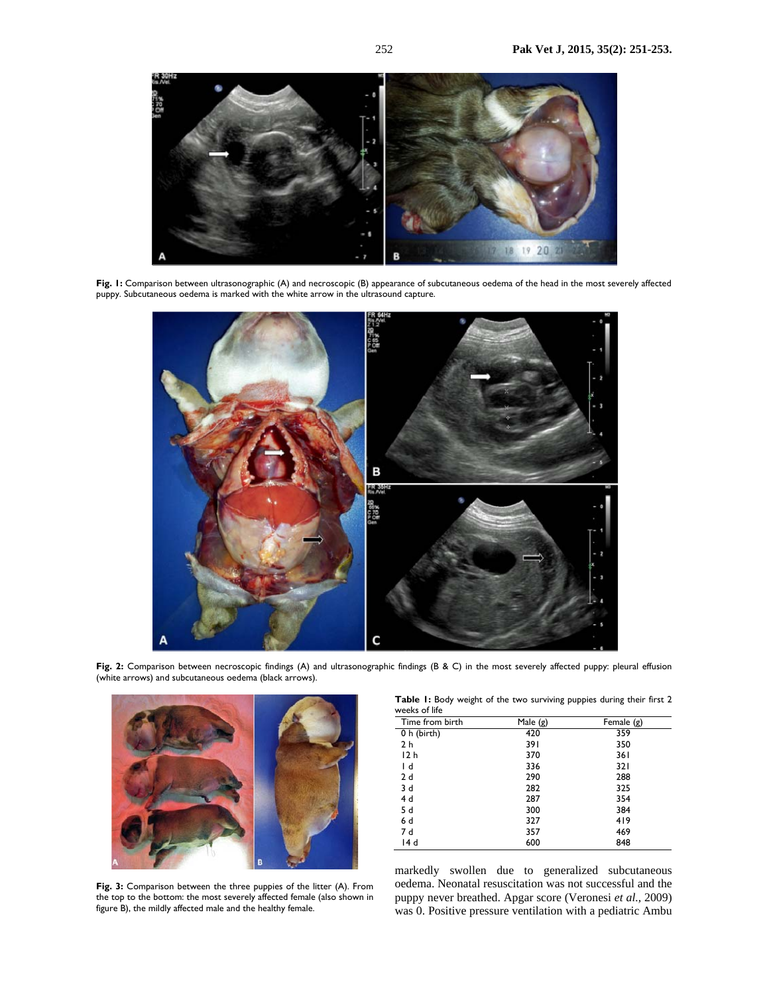

**Fig. 1:** Comparison between ultrasonographic (A) and necroscopic (B) appearance of subcutaneous oedema of the head in the most severely affected puppy. Subcutaneous oedema is marked with the white arrow in the ultrasound capture.



Fig. 2: Comparison between necroscopic findings (A) and ultrasonographic findings (B & C) in the most severely affected puppy: pleural effusion (white arrows) and subcutaneous oedema (black arrows).



**Fig. 3:** Comparison between the three puppies of the litter (A). From the top to the bottom: the most severely affected female (also shown in figure B), the mildly affected male and the healthy female.

**Table 1:** Body weight of the two surviving puppies during their first 2 weeks of life

| Time from birth | Male (g) | Female $(g)$ |
|-----------------|----------|--------------|
| 0 h (birth)     | 420      | 359          |
| 2 h             | 391      | 350          |
| 12 <sub>h</sub> | 370      | 361          |
| l d             | 336      | 32 I         |
| 2d              | 290      | 288          |
| 3 d             | 282      | 325          |
| 4 d             | 287      | 354          |
| 5 d             | 300      | 384          |
| 6 d             | 327      | 419          |
| 7 d             | 357      | 469          |
| 14 d            | 600      | 848          |

markedly swollen due to generalized subcutaneous oedema. Neonatal resuscitation was not successful and the puppy never breathed. Apgar score (Veronesi *et al.,* 2009) was 0. Positive pressure ventilation with a pediatric Ambu